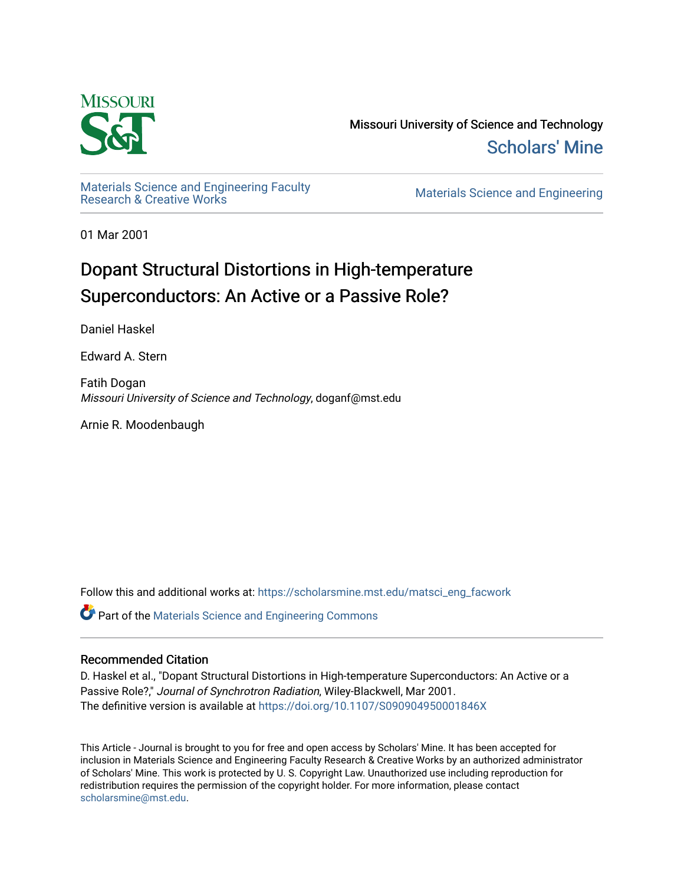

Missouri University of Science and Technology [Scholars' Mine](https://scholarsmine.mst.edu/) 

Materials Science and Engineering Faculty<br>Research & Creative Works

Materials Science and Engineering

01 Mar 2001

# Dopant Structural Distortions in High-temperature Superconductors: An Active or a Passive Role?

Daniel Haskel

Edward A. Stern

Fatih Dogan Missouri University of Science and Technology, doganf@mst.edu

Arnie R. Moodenbaugh

Follow this and additional works at: [https://scholarsmine.mst.edu/matsci\\_eng\\_facwork](https://scholarsmine.mst.edu/matsci_eng_facwork?utm_source=scholarsmine.mst.edu%2Fmatsci_eng_facwork%2F456&utm_medium=PDF&utm_campaign=PDFCoverPages) 

**P** Part of the Materials Science and Engineering Commons

# Recommended Citation

D. Haskel et al., "Dopant Structural Distortions in High-temperature Superconductors: An Active or a Passive Role?," Journal of Synchrotron Radiation, Wiley-Blackwell, Mar 2001. The definitive version is available at <https://doi.org/10.1107/S090904950001846X>

This Article - Journal is brought to you for free and open access by Scholars' Mine. It has been accepted for inclusion in Materials Science and Engineering Faculty Research & Creative Works by an authorized administrator of Scholars' Mine. This work is protected by U. S. Copyright Law. Unauthorized use including reproduction for redistribution requires the permission of the copyright holder. For more information, please contact [scholarsmine@mst.edu.](mailto:scholarsmine@mst.edu)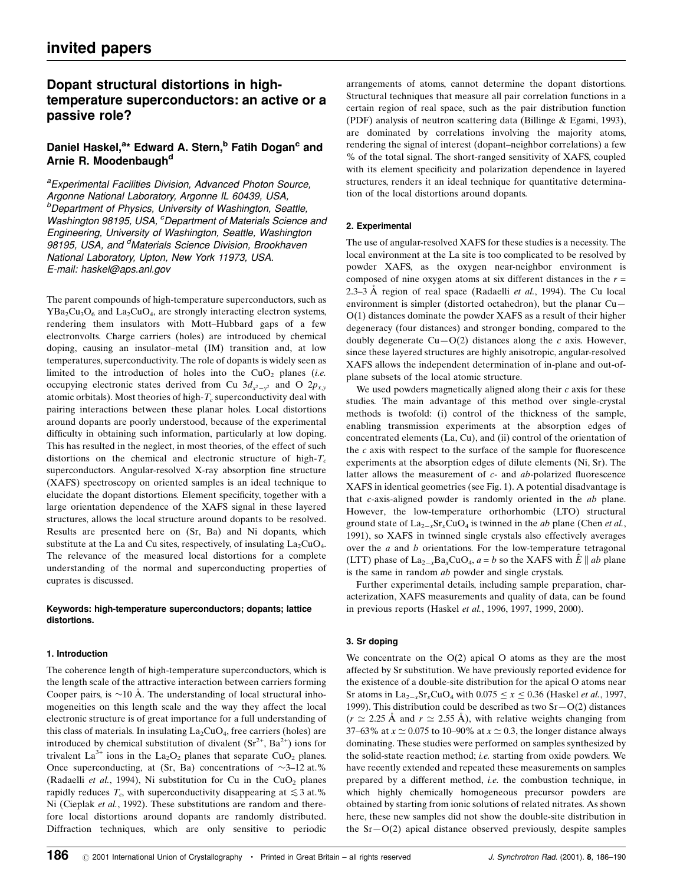# Dopant structural distortions in hightemperature superconductors: an active or a passive role?

# Daniel Haskel,<sup>a</sup>\* Edward A. Stern,<sup>b</sup> Fatih Dogan<sup>c</sup> and Arnie R. Moodenbaugh<sup>d</sup>

<sup>a</sup> Experimental Facilities Division, Advanced Photon Source, Argonne National Laboratory, Argonne IL 60439, USA, *b***Department of Physics, University of Washington, Seattle,** Washington 98195, USA, <sup>c</sup>Department of Materials Science and Engineering, University of Washington, Seattle, Washington 98195, USA, and <sup>d</sup>Materials Science Division, Brookhaven National Laboratory, Upton, New York 11973, USA. E-mail: haskel@aps.anl.gov

The parent compounds of high-temperature superconductors, such as  $YBa<sub>2</sub>Cu<sub>3</sub>O<sub>6</sub>$  and  $La<sub>2</sub>CuO<sub>4</sub>$ , are strongly interacting electron systems, rendering them insulators with Mott-Hubbard gaps of a few electronvolts. Charge carriers (holes) are introduced by chemical doping, causing an insulator-metal (IM) transition and, at low temperatures, superconductivity. The role of dopants is widely seen as limited to the introduction of holes into the  $CuO<sub>2</sub>$  planes (i.e. occupying electronic states derived from Cu  $3d_{x^2-y^2}$  and O  $2p_{x,y}$ atomic orbitals). Most theories of high- $T_c$  superconductivity deal with pairing interactions between these planar holes. Local distortions around dopants are poorly understood, because of the experimental difficulty in obtaining such information, particularly at low doping. This has resulted in the neglect, in most theories, of the effect of such distortions on the chemical and electronic structure of high- $T_c$ superconductors. Angular-resolved X-ray absorption fine structure (XAFS) spectroscopy on oriented samples is an ideal technique to elucidate the dopant distortions. Element specificity, together with a large orientation dependence of the XAFS signal in these layered structures, allows the local structure around dopants to be resolved. Results are presented here on (Sr, Ba) and Ni dopants, which substitute at the La and Cu sites, respectively, of insulating  $La<sub>2</sub>CuO<sub>4</sub>$ . The relevance of the measured local distortions for a complete understanding of the normal and superconducting properties of cuprates is discussed.

## Keywords: high-temperature superconductors; dopants; lattice distortions.

## 1. Introduction

The coherence length of high-temperature superconductors, which is the length scale of the attractive interaction between carriers forming Cooper pairs, is  $\sim$ 10 Å. The understanding of local structural inhomogeneities on this length scale and the way they affect the local electronic structure is of great importance for a full understanding of this class of materials. In insulating  $La_2CuO<sub>4</sub>$ , free carriers (holes) are introduced by chemical substitution of divalent  $(Sr^{2+}, Ba^{2+})$  ions for trivalent La<sup>3+</sup> ions in the La<sub>2</sub>O<sub>2</sub> planes that separate CuO<sub>2</sub> planes. Once superconducting, at (Sr, Ba) concentrations of  $\sim$ 3-12 at.% (Radaelli et al., 1994), Ni substitution for Cu in the  $CuO<sub>2</sub>$  planes rapidly reduces  $T_c$ , with superconductivity disappearing at  $\leq 3$  at.% Ni (Cieplak et al., 1992). These substitutions are random and therefore local distortions around dopants are randomly distributed. Diffraction techniques, which are only sensitive to periodic

arrangements of atoms, cannot determine the dopant distortions. Structural techniques that measure all pair correlation functions in a certain region of real space, such as the pair distribution function (PDF) analysis of neutron scattering data (Billinge & Egami, 1993), are dominated by correlations involving the majority atoms, rendering the signal of interest (dopant-neighbor correlations) a few % of the total signal. The short-ranged sensitivity of XAFS, coupled with its element specificity and polarization dependence in layered structures, renders it an ideal technique for quantitative determination of the local distortions around dopants.

# 2. Experimental

The use of angular-resolved XAFS for these studies is a necessity. The local environment at the La site is too complicated to be resolved by powder XAFS, as the oxygen near-neighbor environment is composed of nine oxygen atoms at six different distances in the  $r =$ 2.3–3 Å region of real space (Radaelli *et al.*, 1994). The Cu local environment is simpler (distorted octahedron), but the planar  $Cu$ O(1) distances dominate the powder XAFS as a result of their higher degeneracy (four distances) and stronger bonding, compared to the doubly degenerate  $Cu-O(2)$  distances along the c axis. However, since these layered structures are highly anisotropic, angular-resolved XAFS allows the independent determination of in-plane and out-ofplane subsets of the local atomic structure.

We used powders magnetically aligned along their  $c$  axis for these studies. The main advantage of this method over single-crystal methods is twofold: (i) control of the thickness of the sample, enabling transmission experiments at the absorption edges of concentrated elements (La, Cu), and (ii) control of the orientation of the  $c$  axis with respect to the surface of the sample for fluorescence experiments at the absorption edges of dilute elements (Ni, Sr). The latter allows the measurement of  $c$ - and  $ab$ -polarized fluorescence XAFS in identical geometries (see Fig. 1). A potential disadvantage is that c-axis-aligned powder is randomly oriented in the ab plane. However, the low-temperature orthorhombic (LTO) structural ground state of  $La_{2-x}Sr_xCuO_4$  is twinned in the *ab* plane (Chen *et al.*, 1991), so XAFS in twinned single crystals also effectively averages over the a and b orientations. For the low-temperature tetragonal (LTT) phase of  $\text{La}_{2-x}\text{Ba}_x\text{CuO}_4$ ,  $a = b$  so the XAFS with  $\hat{E} \parallel ab$  plane is the same in random *ab* powder and single crystals.

Further experimental details, including sample preparation, characterization, XAFS measurements and quality of data, can be found in previous reports (Haskel et al., 1996, 1997, 1999, 2000).

## 3. Sr doping

We concentrate on the  $O(2)$  apical O atoms as they are the most affected by Sr substitution. We have previously reported evidence for the existence of a double-site distribution for the apical O atoms near Sr atoms in  $\text{La}_{2-x}\text{Sr}_x\text{CuO}_4$  with  $0.075 \le x \le 0.36$  (Haskel *et al.*, 1997, 1999). This distribution could be described as two  $Sr-O(2)$  distances  $(r \simeq 2.25 \text{ Å}$  and  $r \simeq 2.55 \text{ Å}$ ), with relative weights changing from 37–63% at  $x \approx 0.075$  to 10–90% at  $x \approx 0.3$ , the longer distance always dominating. These studies were performed on samples synthesized by the solid-state reaction method; i.e. starting from oxide powders. We have recently extended and repeated these measurements on samples prepared by a different method, i.e. the combustion technique, in which highly chemically homogeneous precursor powders are obtained by starting from ionic solutions of related nitrates. As shown here, these new samples did not show the double-site distribution in the  $Sr-O(2)$  apical distance observed previously, despite samples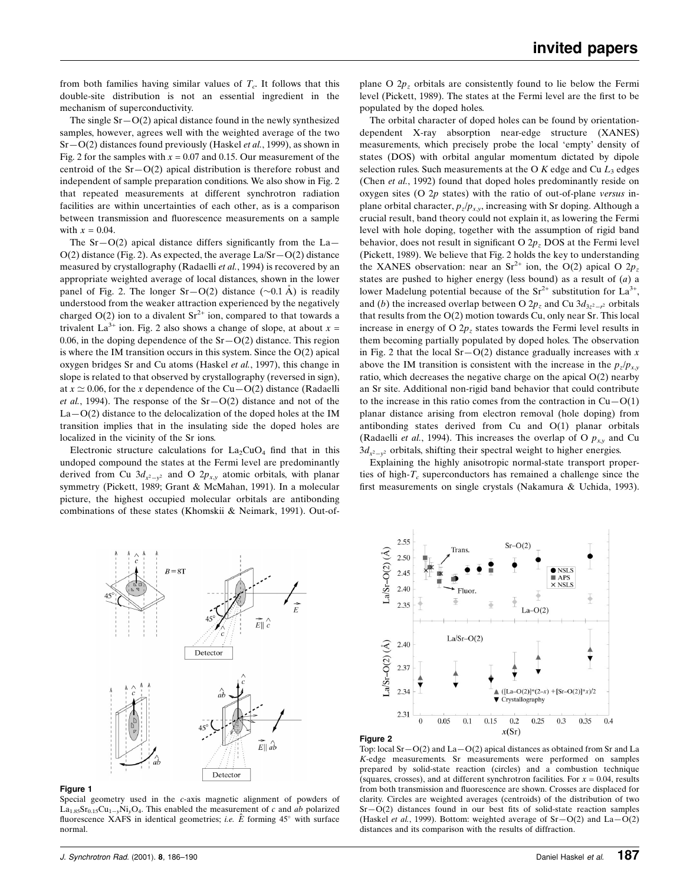from both families having similar values of  $T_c$ . It follows that this double-site distribution is not an essential ingredient in the mechanism of superconductivity.

The single  $Sr-O(2)$  apical distance found in the newly synthesized samples, however, agrees well with the weighted average of the two  $Sr-O(2)$  distances found previously (Haskel *et al.*, 1999), as shown in Fig. 2 for the samples with  $x = 0.07$  and 0.15. Our measurement of the centroid of the  $Sr-O(2)$  apical distribution is therefore robust and independent of sample preparation conditions. We also show in Fig. 2 that repeated measurements at different synchrotron radiation facilities are within uncertainties of each other, as is a comparison between transmission and fluorescence measurements on a sample with  $x = 0.04$ .

The Sr $-O(2)$  apical distance differs significantly from the La $O(2)$  distance (Fig. 2). As expected, the average La/Sr $-O(2)$  distance measured by crystallography (Radaelli et al., 1994) is recovered by an appropriate weighted average of local distances, shown in the lower panel of Fig. 2. The longer  $Sr-O(2)$  distance ( $\sim 0.1$  Å) is readily understood from the weaker attraction experienced by the negatively charged  $O(2)$  ion to a divalent  $Sr^{2+}$  ion, compared to that towards a trivalent La<sup>3+</sup> ion. Fig. 2 also shows a change of slope, at about  $x =$ 0.06, in the doping dependence of the  $Sr-O(2)$  distance. This region is where the IM transition occurs in this system. Since the  $O(2)$  apical oxygen bridges Sr and Cu atoms (Haskel et al., 1997), this change in slope is related to that observed by crystallography (reversed in sign), at  $x \approx 0.06$ , for the x dependence of the Cu $-\text{O}(2)$  distance (Radaelli *et al.*, 1994). The response of the  $Sr-O(2)$  distance and not of the  $La-O(2)$  distance to the delocalization of the doped holes at the IM transition implies that in the insulating side the doped holes are localized in the vicinity of the Sr ions.

Electronic structure calculations for  $La_2CuO_4$  find that in this undoped compound the states at the Fermi level are predominantly derived from Cu  $3d_{x^2-y^2}$  and O  $2p_{x,y}$  atomic orbitals, with planar symmetry (Pickett, 1989; Grant & McMahan, 1991). In a molecular picture, the highest occupied molecular orbitals are antibonding combinations of these states (Khomskii & Neimark, 1991). Out-of-

plane O  $2p<sub>z</sub>$  orbitals are consistently found to lie below the Fermi level (Pickett, 1989). The states at the Fermi level are the first to be populated by the doped holes.

The orbital character of doped holes can be found by orientationdependent X-ray absorption near-edge structure (XANES) measurements, which precisely probe the local `empty' density of states (DOS) with orbital angular momentum dictated by dipole selection rules. Such measurements at the O  $K$  edge and Cu  $L_3$  edges (Chen et al., 1992) found that doped holes predominantly reside on oxygen sites (O  $2p$  states) with the ratio of out-of-plane versus inplane orbital character,  $p_z/p_{x,y}$ , increasing with Sr doping. Although a crucial result, band theory could not explain it, as lowering the Fermi level with hole doping, together with the assumption of rigid band behavior, does not result in significant O  $2p_z$  DOS at the Fermi level (Pickett, 1989). We believe that Fig. 2 holds the key to understanding the XANES observation: near an Sr<sup>2+</sup> ion, the O(2) apical O  $2p_z$ states are pushed to higher energy (less bound) as a result of  $(a)$  a lower Madelung potential because of the  $Sr^{2+}$  substitution for  $La^{3+}$ , and (b) the increased overlap between O  $2p_z$  and Cu  $3d_{3z^2-z^2}$  orbitals that results from the O(2) motion towards Cu, only near Sr. This local increase in energy of O  $2p<sub>z</sub>$  states towards the Fermi level results in them becoming partially populated by doped holes. The observation in Fig. 2 that the local  $Sr-O(2)$  distance gradually increases with x above the IM transition is consistent with the increase in the  $p_z/p_{xy}$ ratio, which decreases the negative charge on the apical O(2) nearby an Sr site. Additional non-rigid band behavior that could contribute to the increase in this ratio comes from the contraction in  $Cu-O(1)$ planar distance arising from electron removal (hole doping) from antibonding states derived from Cu and O(1) planar orbitals (Radaelli et al., 1994). This increases the overlap of O  $p_{xy}$  and Cu  $3d_{x^2-y^2}$  orbitals, shifting their spectral weight to higher energies.

Explaining the highly anisotropic normal-state transport properties of high- $T_c$  superconductors has remained a challenge since the first measurements on single crystals (Nakamura & Uchida, 1993).



#### Figure 1

Special geometry used in the c-axis magnetic alignment of powders of La<sub>1.85</sub>Sr<sub>0.15</sub>Cu<sub>1-y</sub>Ni<sub>y</sub>O<sub>4</sub>. This enabled the measurement of c and ab polarized fluorescence XAFS in identical geometries; *i.e.*  $\hat{E}$  forming 45 $^{\circ}$  with surface normal.



#### Figure 2

Top: local  $Sr-O(2)$  and  $La-O(2)$  apical distances as obtained from Sr and La K-edge measurements. Sr measurements were performed on samples prepared by solid-state reaction (circles) and a combustion technique (squares, crosses), and at different synchrotron facilities. For  $x = 0.04$ , results from both transmission and fluorescence are shown. Crosses are displaced for clarity. Circles are weighted averages (centroids) of the distribution of two  $Sr-O(2)$  distances found in our best fits of solid-state reaction samples (Haskel *et al.*, 1999). Bottom: weighted average of  $Sr-O(2)$  and  $La-O(2)$ distances and its comparison with the results of diffraction.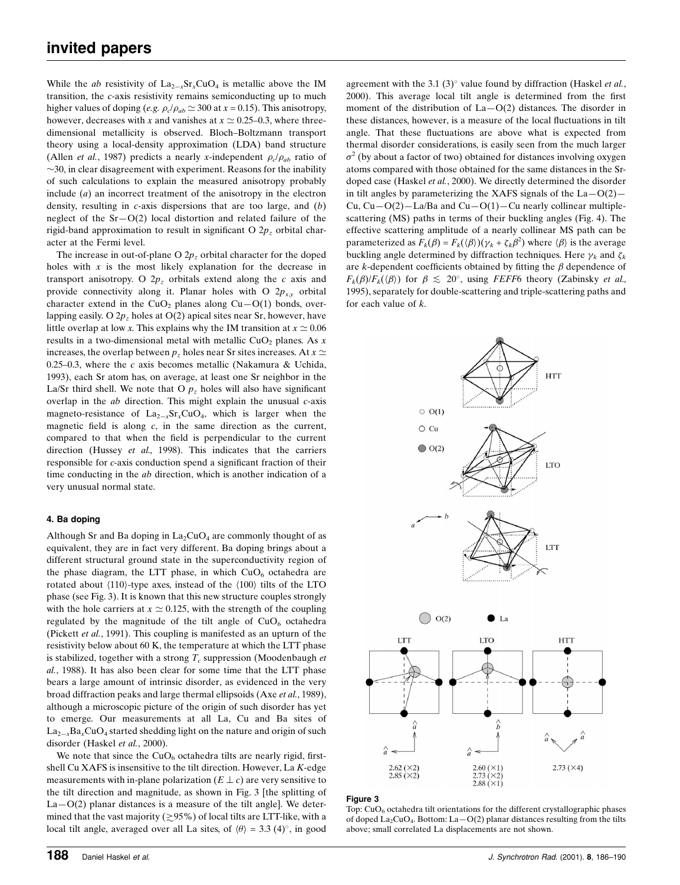While the *ab* resistivity of  $La_{2-x}Sr_xCuO_4$  is metallic above the IM transition, the c-axis resistivity remains semiconducting up to much higher values of doping (e.g.  $\rho_c/\rho_{ab} \simeq 300$  at  $x = 0.15$ ). This anisotropy, however, decreases with x and vanishes at  $x \approx 0.25-0.3$ , where threedimensional metallicity is observed. Bloch-Boltzmann transport theory using a local-density approximation (LDA) band structure (Allen *et al.*, 1987) predicts a nearly x-independent  $\rho_c/\rho_{ab}$  ratio of  $\sim$ 30, in clear disagreement with experiment. Reasons for the inability of such calculations to explain the measured anisotropy probably include (a) an incorrect treatment of the anisotropy in the electron density, resulting in  $c$ -axis dispersions that are too large, and  $(b)$ neglect of the  $Sr-O(2)$  local distortion and related failure of the rigid-band approximation to result in significant O  $2p<sub>z</sub>$  orbital character at the Fermi level.

The increase in out-of-plane O  $2p<sub>z</sub>$  orbital character for the doped holes with  $x$  is the most likely explanation for the decrease in transport anisotropy. O  $2p<sub>z</sub>$  orbitals extend along the c axis and provide connectivity along it. Planar holes with O  $2p_{xy}$  orbital character extend in the CuO<sub>2</sub> planes along Cu $-O(1)$  bonds, overlapping easily. O  $2p<sub>z</sub>$  holes at O(2) apical sites near Sr, however, have little overlap at low x. This explains why the IM transition at  $x \approx 0.06$ results in a two-dimensional metal with metallic  $CuO<sub>2</sub>$  planes. As x increases, the overlap between  $p_z$  holes near Sr sites increases. At  $x \simeq$ 0.25 $-0.3$ , where the c axis becomes metallic (Nakamura & Uchida, 1993), each Sr atom has, on average, at least one Sr neighbor in the La/Sr third shell. We note that O  $p<sub>z</sub>$  holes will also have significant overlap in the  $ab$  direction. This might explain the unusual  $c$ -axis magneto-resistance of  $La_{2-x}Sr_xCuO_4$ , which is larger when the magnetic field is along  $c$ , in the same direction as the current, compared to that when the field is perpendicular to the current direction (Hussey et al., 1998). This indicates that the carriers responsible for c-axis conduction spend a significant fraction of their time conducting in the ab direction, which is another indication of a very unusual normal state.

### 4. Ba doping

Although Sr and Ba doping in  $La_2CuO_4$  are commonly thought of as equivalent, they are in fact very different. Ba doping brings about a different structural ground state in the superconductivity region of the phase diagram, the LTT phase, in which  $CuO<sub>6</sub>$  octahedra are rotated about  $\langle 110 \rangle$ -type axes, instead of the  $\langle 100 \rangle$  tilts of the LTO phase (see Fig. 3). It is known that this new structure couples strongly with the hole carriers at  $x \approx 0.125$ , with the strength of the coupling regulated by the magnitude of the tilt angle of  $CuO<sub>6</sub>$  octahedra (Pickett et al., 1991). This coupling is manifested as an upturn of the resistivity below about 60 K, the temperature at which the LTT phase is stabilized, together with a strong  $T_c$  suppression (Moodenbaugh et al., 1988). It has also been clear for some time that the LTT phase bears a large amount of intrinsic disorder, as evidenced in the very broad diffraction peaks and large thermal ellipsoids (Axe et al., 1989), although a microscopic picture of the origin of such disorder has yet to emerge. Our measurements at all La, Cu and Ba sites of  $La_{2-x}Ba_xCuO_4$  started shedding light on the nature and origin of such disorder (Haskel et al., 2000).

We note that since the  $CuO<sub>6</sub>$  octahedra tilts are nearly rigid, firstshell Cu XAFS is insensitive to the tilt direction. However, La K-edge measurements with in-plane polarization  $(E \perp c)$  are very sensitive to the tilt direction and magnitude, as shown in Fig. 3 [the splitting of  $La-O(2)$  planar distances is a measure of the tilt angle]. We determined that the vast majority ( $\geq$ 95%) of local tilts are LTT-like, with a local tilt angle, averaged over all La sites, of  $\langle \theta \rangle = 3.3 \ (4)^\circ$ , in good agreement with the 3.1 (3) $^{\circ}$  value found by diffraction (Haskel *et al.*, 2000). This average local tilt angle is determined from the first moment of the distribution of  $La-O(2)$  distances. The disorder in these distances, however, is a measure of the local fluctuations in tilt angle. That these fluctuations are above what is expected from thermal disorder considerations, is easily seen from the much larger  $\sigma^2$  (by about a factor of two) obtained for distances involving oxygen atoms compared with those obtained for the same distances in the Srdoped case (Haskel et al., 2000). We directly determined the disorder in tilt angles by parameterizing the XAFS signals of the  $La-O(2)$ Cu,  $Cu$ – $O(2)$ – $La/Ba$  and  $Cu$ – $O(1)$ – $Cu$  nearly collinear multiplescattering (MS) paths in terms of their buckling angles (Fig. 4). The effective scattering amplitude of a nearly collinear MS path can be parameterized as  $F_k(\beta) = F_k(\langle \beta \rangle)(\gamma_k + \zeta_k \beta^2)$  where  $\langle \beta \rangle$  is the average buckling angle determined by diffraction techniques. Here  $\gamma_k$  and  $\zeta_k$ are k-dependent coefficients obtained by fitting the  $\beta$  dependence of  $F_k(\beta)/F_k(\langle \beta \rangle)$  for  $\beta \leq 20^\circ$ , using FEFF6 theory (Zabinsky *et al.*, 1995), separately for double-scattering and triple-scattering paths and for each value of  $k$ .



#### Figure 3

Top:  $CuO<sub>6</sub>$  octahedra tilt orientations for the different crystallographic phases of doped  $\text{La}_2\text{CuO}_4$ . Bottom:  $\text{La}-\text{O}(2)$  planar distances resulting from the tilts above; small correlated La displacements are not shown.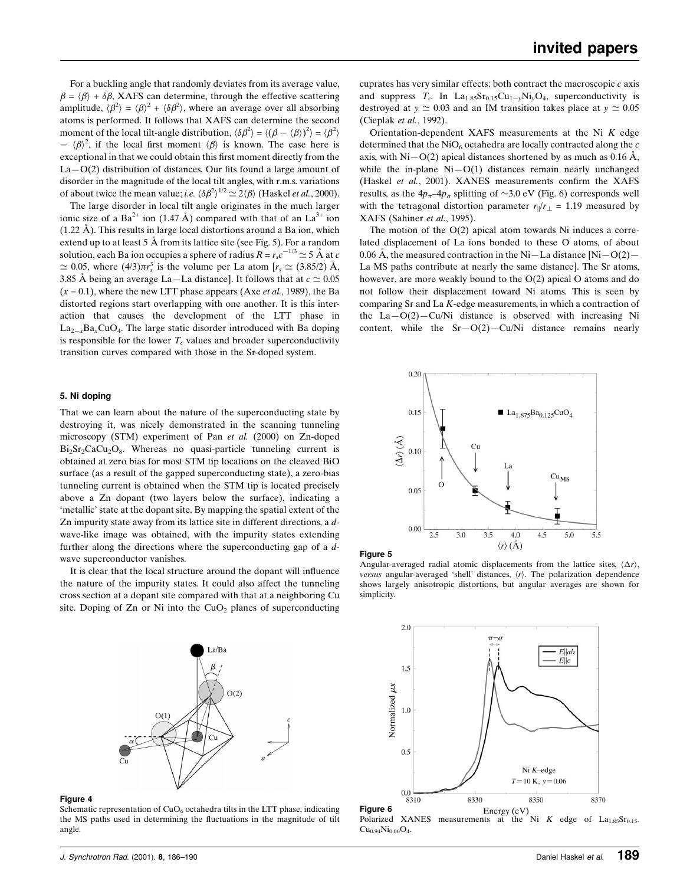For a buckling angle that randomly deviates from its average value,  $\beta = \langle \beta \rangle + \delta \beta$ , XAFS can determine, through the effective scattering amplitude,  $\langle \beta^2 \rangle = \langle \beta \rangle^2 + \langle \delta \beta^2 \rangle$ , where an average over all absorbing atoms is performed. It follows that XAFS can determine the second moment of the local tilt-angle distribution,  $\langle \delta \beta^2 \rangle = \langle (\beta - \langle \beta \rangle)^2 \rangle = \langle \beta^2 \rangle$  $\langle \beta \rangle^2$ , if the local first moment  $\langle \beta \rangle$  is known. The case here is exceptional in that we could obtain this first moment directly from the  $La-O(2)$  distribution of distances. Our fits found a large amount of disorder in the magnitude of the local tilt angles, with r.m.s. variations of about twice the mean value; *i.e.*  $\langle \delta \beta^2 \rangle^{1/2} \simeq 2 \langle \beta \rangle$  (Haskel *et al.*, 2000).

The large disorder in local tilt angle originates in the much larger ionic size of a Ba<sup>2+</sup> ion (1.47 Å) compared with that of an La<sup>3+</sup> ion  $(1.22 \text{ Å})$ . This results in large local distortions around a Ba ion, which extend up to at least  $5 \text{ Å}$  from its lattice site (see Fig. 5). For a random solution, each Ba ion occupies a sphere of radius  $R = r_s c^{-1/3} \simeq 5 \text{ \AA}$  at  $c$  $\simeq 0.05$ , where  $(4/3)\pi r_s^3$  is the volume per La atom  $[r_s \simeq (3.85/2)$  Å, 3.85 Å being an average La–La distance]. It follows that at  $c \approx 0.05$  $(x = 0.1)$ , where the new LTT phase appears (Axe *et al.*, 1989), the Ba distorted regions start overlapping with one another. It is this interaction that causes the development of the LTT phase in  $La_{2-x}Ba_xCuO_4$ . The large static disorder introduced with Ba doping is responsible for the lower  $T_c$  values and broader superconductivity transition curves compared with those in the Sr-doped system.

#### 5. Ni doping

That we can learn about the nature of the superconducting state by destroying it, was nicely demonstrated in the scanning tunneling microscopy (STM) experiment of Pan et al. (2000) on Zn-doped  $Bi<sub>2</sub>Sr<sub>2</sub>CaCu<sub>2</sub>O<sub>8</sub>$ . Whereas no quasi-particle tunneling current is obtained at zero bias for most STM tip locations on the cleaved BiO surface (as a result of the gapped superconducting state), a zero-bias tunneling current is obtained when the STM tip is located precisely above a Zn dopant (two layers below the surface), indicating a `metallic' state at the dopant site. By mapping the spatial extent of the Zn impurity state away from its lattice site in different directions, a dwave-like image was obtained, with the impurity states extending further along the directions where the superconducting gap of a dwave superconductor vanishes.

It is clear that the local structure around the dopant will influence the nature of the impurity states. It could also affect the tunneling cross section at a dopant site compared with that at a neighboring Cu site. Doping of  $Zn$  or Ni into the CuO<sub>2</sub> planes of superconducting



#### Figure 4

Schematic representation of  $CuO<sub>6</sub>$  octahedra tilts in the LTT phase, indicating the MS paths used in determining the fluctuations in the magnitude of tilt angle.

cuprates has very similar effects: both contract the macroscopic c axis and suppress  $T_c$ . In La<sub>1.85</sub>Sr<sub>0.15</sub>Cu<sub>1-y</sub>Ni<sub>y</sub>O<sub>4</sub>, superconductivity is destroyed at  $y \approx 0.03$  and an IM transition takes place at  $y \approx 0.05$ (Cieplak et al., 1992).

Orientation-dependent XAFS measurements at the Ni K edge determined that the  $NiO<sub>6</sub>$  octahedra are locally contracted along the  $c$ axis, with Ni $-O(2)$  apical distances shortened by as much as 0.16 A, while the in-plane  $Ni-O(1)$  distances remain nearly unchanged (Haskel et al., 2001). XANES measurements confirm the XAFS results, as the  $4p_{\pi}-4p_{\sigma}$  splitting of  $\sim$ 3.0 eV (Fig. 6) corresponds well with the tetragonal distortion parameter  $r_{\parallel}/r_{\perp} = 1.19$  measured by XAFS (Sahiner et al., 1995).

The motion of the  $O(2)$  apical atom towards Ni induces a correlated displacement of La ions bonded to these O atoms, of about 0.06 Å, the measured contraction in the Ni–La distance  $[Ni-O(2)$ La MS paths contribute at nearly the same distance]. The Sr atoms, however, are more weakly bound to the O(2) apical O atoms and do not follow their displacement toward Ni atoms. This is seen by comparing Sr and La K-edge measurements, in which a contraction of the  $La-O(2)-Cu/Ni$  distance is observed with increasing Ni content, while the  $Sr-O(2)-Cu/Ni$  distance remains nearly





Angular-averaged radial atomic displacements from the lattice sites,  $\langle \Delta r \rangle$ , versus angular-averaged 'shell' distances,  $\langle r \rangle$ . The polarization dependence shows largely anisotropic distortions, but angular averages are shown for simplicity.



 $Cu_{0.94}Ni_{0.06}O_4.$